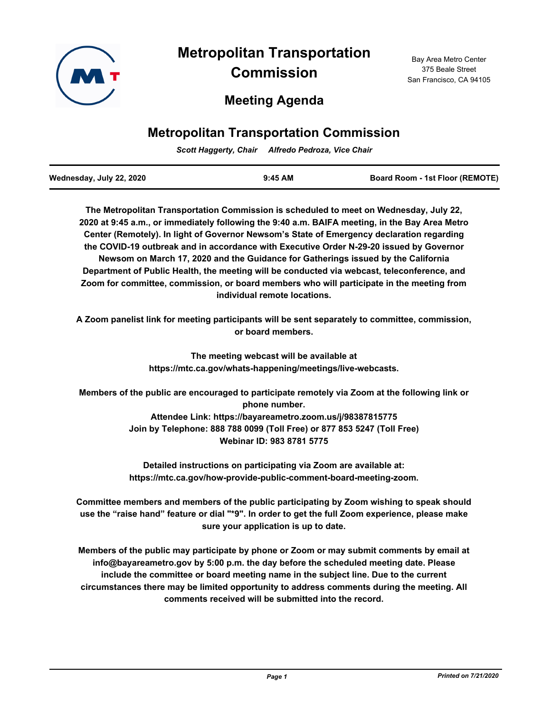

# **Metropolitan Transportation Commission**

## **Meeting Agenda**

## **Metropolitan Transportation Commission**

*Scott Haggerty, Chair Alfredo Pedroza, Vice Chair*

| Wednesday, July 22, 2020 | $9:45$ AM | <b>Board Room - 1st Floor (REMOTE)</b> |
|--------------------------|-----------|----------------------------------------|
|                          |           |                                        |

**The Metropolitan Transportation Commission is scheduled to meet on Wednesday, July 22, 2020 at 9:45 a.m., or immediately following the 9:40 a.m. BAIFA meeting, in the Bay Area Metro Center (Remotely). In light of Governor Newsom's State of Emergency declaration regarding the COVID-19 outbreak and in accordance with Executive Order N-29-20 issued by Governor Newsom on March 17, 2020 and the Guidance for Gatherings issued by the California Department of Public Health, the meeting will be conducted via webcast, teleconference, and Zoom for committee, commission, or board members who will participate in the meeting from individual remote locations.** 

**A Zoom panelist link for meeting participants will be sent separately to committee, commission, or board members.**

> **The meeting webcast will be available at https://mtc.ca.gov/whats-happening/meetings/live-webcasts.**

**Members of the public are encouraged to participate remotely via Zoom at the following link or phone number. Attendee Link: https://bayareametro.zoom.us/j/98387815775 Join by Telephone: 888 788 0099 (Toll Free) or 877 853 5247 (Toll Free) Webinar ID: 983 8781 5775**

> **Detailed instructions on participating via Zoom are available at: https://mtc.ca.gov/how-provide-public-comment-board-meeting-zoom.**

**Committee members and members of the public participating by Zoom wishing to speak should use the "raise hand" feature or dial "\*9". In order to get the full Zoom experience, please make sure your application is up to date.**

**Members of the public may participate by phone or Zoom or may submit comments by email at info@bayareametro.gov by 5:00 p.m. the day before the scheduled meeting date. Please include the committee or board meeting name in the subject line. Due to the current circumstances there may be limited opportunity to address comments during the meeting. All comments received will be submitted into the record.**

Bay Area Metro Center 375 Beale Street San Francisco, CA 94105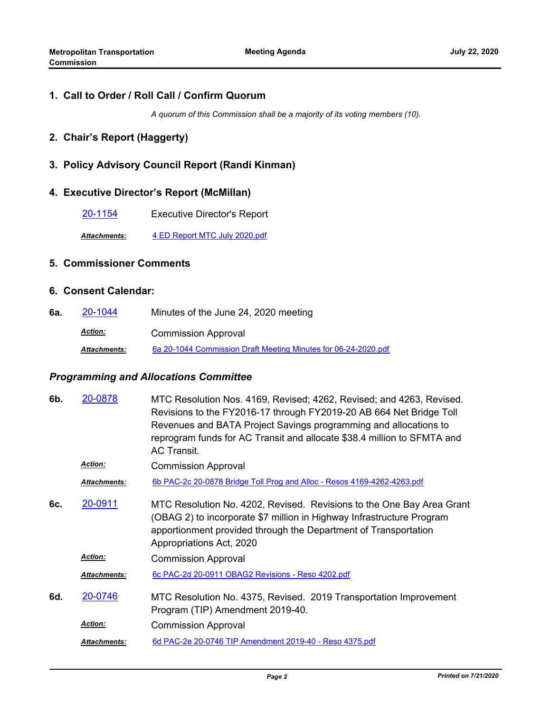## **1. Call to Order / Roll Call / Confirm Quorum**

*A quorum of this Commission shall be a majority of its voting members (10).*

#### **2. Chair's Report (Haggerty)**

## **3. Policy Advisory Council Report (Randi Kinman)**

#### **4. Executive Director's Report (McMillan)**

[20-1154](http://mtc.legistar.com/gateway.aspx?m=l&id=/matter.aspx?key=21019) Executive Director's Report

*Attachments:* [4 ED Report MTC July 2020.pdf](http://mtc.legistar.com/gateway.aspx?M=F&ID=6123b967-e587-4d17-8f6f-8f8f22f309c9.pdf)

## **5. Commissioner Comments**

#### **6. Consent Calendar:**

**6a.** [20-1044](http://mtc.legistar.com/gateway.aspx?m=l&id=/matter.aspx?key=20908) Minutes of the June 24, 2020 meeting Commission Approval *Action: Attachments:* [6a 20-1044 Commission Draft Meeting Minutes for 06-24-2020.pdf](http://mtc.legistar.com/gateway.aspx?M=F&ID=1a1d7167-9cf1-4cee-a101-bee5e9208eba.pdf)

#### *Programming and Allocations Committee*

| 6b. | 20-0878             | MTC Resolution Nos. 4169, Revised; 4262, Revised; and 4263, Revised.<br>Revisions to the FY2016-17 through FY2019-20 AB 664 Net Bridge Toll<br>Revenues and BATA Project Savings programming and allocations to<br>reprogram funds for AC Transit and allocate \$38.4 million to SFMTA and<br><b>AC Transit</b> |
|-----|---------------------|-----------------------------------------------------------------------------------------------------------------------------------------------------------------------------------------------------------------------------------------------------------------------------------------------------------------|
|     | <b>Action:</b>      | <b>Commission Approval</b>                                                                                                                                                                                                                                                                                      |
|     | Attachments:        | 6b PAC-2c 20-0878 Bridge Toll Prog and Alloc - Resos 4169-4262-4263.pdf                                                                                                                                                                                                                                         |
| 6с. | 20-0911             | MTC Resolution No. 4202, Revised. Revisions to the One Bay Area Grant<br>(OBAG 2) to incorporate \$7 million in Highway Infrastructure Program<br>apportionment provided through the Department of Transportation<br>Appropriations Act, 2020                                                                   |
|     | <b>Action:</b>      | <b>Commission Approval</b>                                                                                                                                                                                                                                                                                      |
|     | Attachments:        | 6c PAC-2d 20-0911 OBAG2 Revisions - Reso 4202.pdf                                                                                                                                                                                                                                                               |
| 6d. | 20-0746             | MTC Resolution No. 4375, Revised. 2019 Transportation Improvement<br>Program (TIP) Amendment 2019-40.                                                                                                                                                                                                           |
|     | <b>Action:</b>      | <b>Commission Approval</b>                                                                                                                                                                                                                                                                                      |
|     | <b>Attachments:</b> | 6d PAC-2e 20-0746 TIP Amendment 2019-40 - Reso 4375.pdf                                                                                                                                                                                                                                                         |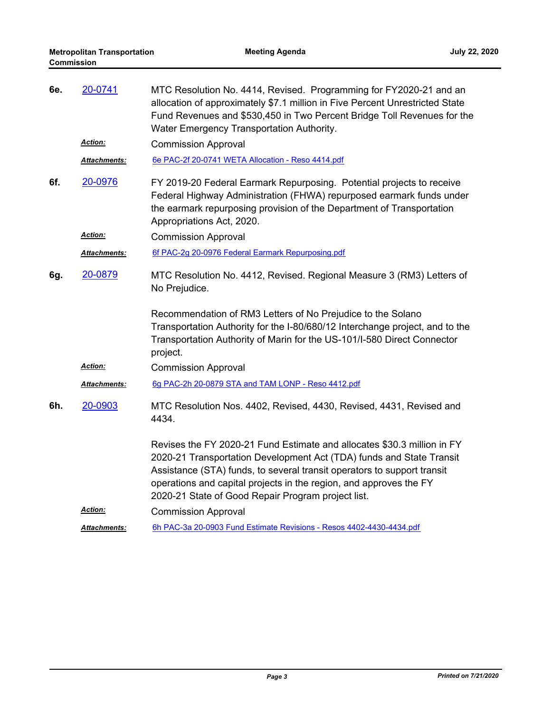| 6e. | 20-0741             | MTC Resolution No. 4414, Revised. Programming for FY2020-21 and an<br>allocation of approximately \$7.1 million in Five Percent Unrestricted State<br>Fund Revenues and \$530,450 in Two Percent Bridge Toll Revenues for the<br>Water Emergency Transportation Authority.                                                                             |
|-----|---------------------|--------------------------------------------------------------------------------------------------------------------------------------------------------------------------------------------------------------------------------------------------------------------------------------------------------------------------------------------------------|
|     | <b>Action:</b>      | <b>Commission Approval</b>                                                                                                                                                                                                                                                                                                                             |
|     | Attachments:        | 6e PAC-2f 20-0741 WETA Allocation - Reso 4414.pdf                                                                                                                                                                                                                                                                                                      |
| 6f. | 20-0976             | FY 2019-20 Federal Earmark Repurposing. Potential projects to receive<br>Federal Highway Administration (FHWA) repurposed earmark funds under<br>the earmark repurposing provision of the Department of Transportation<br>Appropriations Act, 2020.                                                                                                    |
|     | <b>Action:</b>      | <b>Commission Approval</b>                                                                                                                                                                                                                                                                                                                             |
|     | Attachments:        | 6f PAC-2g 20-0976 Federal Earmark Repurposing.pdf                                                                                                                                                                                                                                                                                                      |
| 6g. | 20-0879             | MTC Resolution No. 4412, Revised. Regional Measure 3 (RM3) Letters of<br>No Prejudice.                                                                                                                                                                                                                                                                 |
|     |                     | Recommendation of RM3 Letters of No Prejudice to the Solano<br>Transportation Authority for the I-80/680/12 Interchange project, and to the<br>Transportation Authority of Marin for the US-101/I-580 Direct Connector<br>project.                                                                                                                     |
|     | <b>Action:</b>      | <b>Commission Approval</b>                                                                                                                                                                                                                                                                                                                             |
|     | Attachments:        | 6g PAC-2h 20-0879 STA and TAM LONP - Reso 4412.pdf                                                                                                                                                                                                                                                                                                     |
| 6h. | 20-0903             | MTC Resolution Nos. 4402, Revised, 4430, Revised, 4431, Revised and<br>4434.                                                                                                                                                                                                                                                                           |
|     |                     | Revises the FY 2020-21 Fund Estimate and allocates \$30.3 million in FY<br>2020-21 Transportation Development Act (TDA) funds and State Transit<br>Assistance (STA) funds, to several transit operators to support transit<br>operations and capital projects in the region, and approves the FY<br>2020-21 State of Good Repair Program project list. |
|     | <b>Action:</b>      | <b>Commission Approval</b>                                                                                                                                                                                                                                                                                                                             |
|     | <b>Attachments:</b> | 6h PAC-3a 20-0903 Fund Estimate Revisions - Resos 4402-4430-4434.pdf                                                                                                                                                                                                                                                                                   |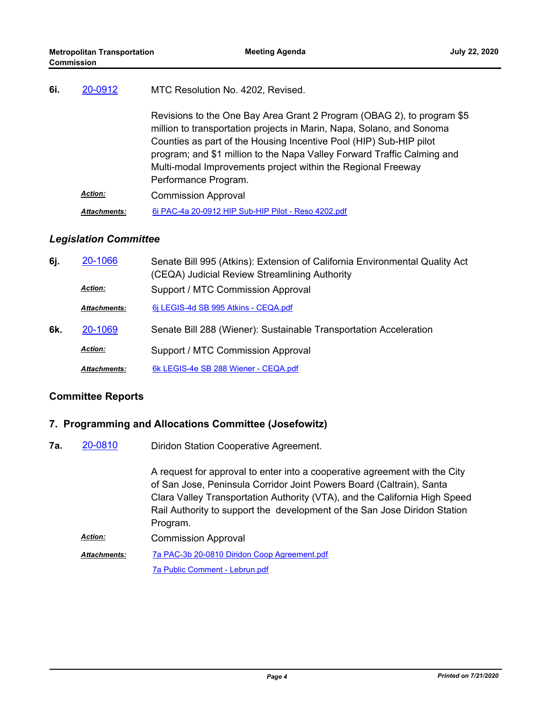| 6i. | 20-0912             | MTC Resolution No. 4202, Revised.                                                                                                                                                                                                                                                                                                                                                        |
|-----|---------------------|------------------------------------------------------------------------------------------------------------------------------------------------------------------------------------------------------------------------------------------------------------------------------------------------------------------------------------------------------------------------------------------|
|     |                     | Revisions to the One Bay Area Grant 2 Program (OBAG 2), to program \$5<br>million to transportation projects in Marin, Napa, Solano, and Sonoma<br>Counties as part of the Housing Incentive Pool (HIP) Sub-HIP pilot<br>program; and \$1 million to the Napa Valley Forward Traffic Calming and<br>Multi-modal Improvements project within the Regional Freeway<br>Performance Program. |
|     | <b>Action:</b>      | <b>Commission Approval</b>                                                                                                                                                                                                                                                                                                                                                               |
|     | <b>Attachments:</b> | 6i PAC-4a 20-0912 HIP Sub-HIP Pilot - Reso 4202.pdf                                                                                                                                                                                                                                                                                                                                      |

## *Legislation Committee*

| 6j. | 20-1066             | Senate Bill 995 (Atkins): Extension of California Environmental Quality Act<br>(CEQA) Judicial Review Streamlining Authority |
|-----|---------------------|------------------------------------------------------------------------------------------------------------------------------|
|     | <b>Action:</b>      | Support / MTC Commission Approval                                                                                            |
|     | <b>Attachments:</b> | 6 LEGIS-4d SB 995 Atkins - CEQA.pdf                                                                                          |
| 6k. | 20-1069             | Senate Bill 288 (Wiener): Sustainable Transportation Acceleration                                                            |
|     | <b>Action:</b>      | Support / MTC Commission Approval                                                                                            |
|     | <b>Attachments:</b> | 6k LEGIS-4e SB 288 Wiener - CEQA.pdf                                                                                         |

## **Committee Reports**

## **7. Programming and Allocations Committee (Josefowitz)**

Diridon Station Cooperative Agreement. **7a.** [20-0810](http://mtc.legistar.com/gateway.aspx?m=l&id=/matter.aspx?key=20674)

> A request for approval to enter into a cooperative agreement with the City of San Jose, Peninsula Corridor Joint Powers Board (Caltrain), Santa Clara Valley Transportation Authority (VTA), and the California High Speed Rail Authority to support the development of the San Jose Diridon Station Program. Commission Approval *Action:*

[7a PAC-3b 20-0810 Diridon Coop Agreement.pdf](http://mtc.legistar.com/gateway.aspx?M=F&ID=b9e64c5c-c720-4175-94d9-8cb1642cd43c.pdf) [7a Public Comment - Lebrun.pdf](http://mtc.legistar.com/gateway.aspx?M=F&ID=c3ab4618-8116-4067-accc-9b1f388ccea8.pdf) *Attachments:*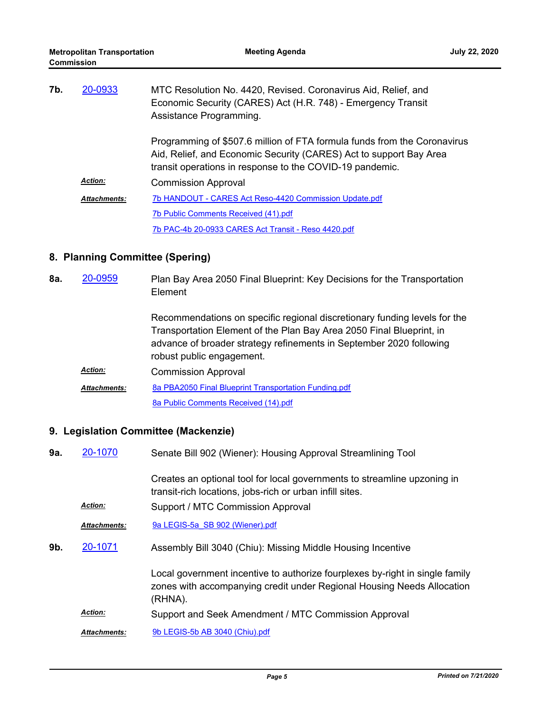| 7b. | 20-0933             | MTC Resolution No. 4420, Revised. Coronavirus Aid, Relief, and<br>Economic Security (CARES) Act (H.R. 748) - Emergency Transit<br>Assistance Programming.                                                  |
|-----|---------------------|------------------------------------------------------------------------------------------------------------------------------------------------------------------------------------------------------------|
|     |                     | Programming of \$507.6 million of FTA formula funds from the Coronavirus<br>Aid, Relief, and Economic Security (CARES) Act to support Bay Area<br>transit operations in response to the COVID-19 pandemic. |
|     | <b>Action:</b>      | <b>Commission Approval</b>                                                                                                                                                                                 |
|     | <b>Attachments:</b> | 7b HANDOUT - CARES Act Reso-4420 Commission Update.pdf                                                                                                                                                     |
|     |                     | 7b Public Comments Received (41).pdf                                                                                                                                                                       |
|     |                     | 7b PAC-4b 20-0933 CARES Act Transit - Reso 4420.pdf                                                                                                                                                        |

## **8. Planning Committee (Spering)**

Plan Bay Area 2050 Final Blueprint: Key Decisions for the Transportation Element **8a.** [20-0959](http://mtc.legistar.com/gateway.aspx?m=l&id=/matter.aspx?key=20823)

> Recommendations on specific regional discretionary funding levels for the Transportation Element of the Plan Bay Area 2050 Final Blueprint, in advance of broader strategy refinements in September 2020 following robust public engagement.

Commission Approval *Action:* [8a PBA2050 Final Blueprint Transportation Funding.pdf](http://mtc.legistar.com/gateway.aspx?M=F&ID=85620138-af2c-4cc0-8d57-1dd47a4b59b1.pdf) [8a Public Comments Received \(14\).pdf](http://mtc.legistar.com/gateway.aspx?M=F&ID=6ae653cc-e913-49ee-972a-bc7347f8cb3c.pdf) *Attachments:*

## **9. Legislation Committee (Mackenzie)**

Senate Bill 902 (Wiener): Housing Approval Streamlining Tool **9a.** [20-1070](http://mtc.legistar.com/gateway.aspx?m=l&id=/matter.aspx?key=20934)

> Creates an optional tool for local governments to streamline upzoning in transit-rich locations, jobs-rich or urban infill sites.

Action: Support / MTC Commission Approval

*Attachments:* [9a LEGIS-5a\\_SB 902 \(Wiener\).pdf](http://mtc.legistar.com/gateway.aspx?M=F&ID=5990cd15-b94a-474e-a1f6-2b0d24981cdc.pdf)

Assembly Bill 3040 (Chiu): Missing Middle Housing Incentive **9b.** [20-1071](http://mtc.legistar.com/gateway.aspx?m=l&id=/matter.aspx?key=20935)

> Local government incentive to authorize fourplexes by-right in single family zones with accompanying credit under Regional Housing Needs Allocation (RHNA).

Action: Support and Seek Amendment / MTC Commission Approval

*Attachments:* [9b LEGIS-5b AB 3040 \(Chiu\).pdf](http://mtc.legistar.com/gateway.aspx?M=F&ID=3f7fbfc9-f563-4dff-a954-bd76a690ce95.pdf)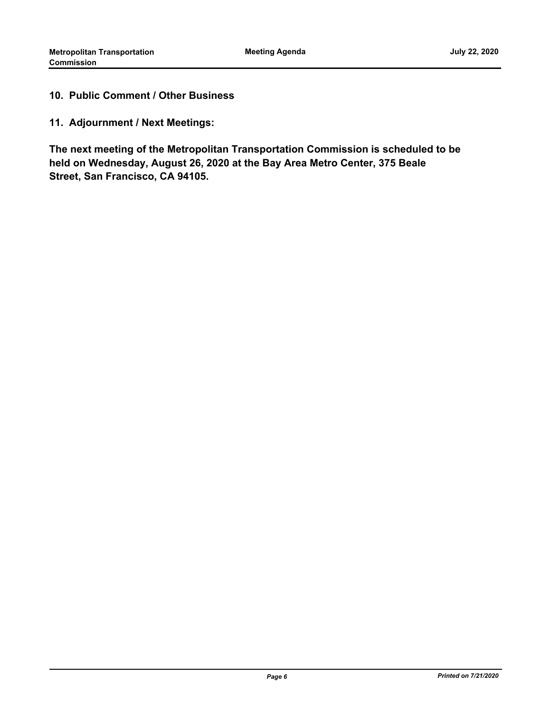## **10. Public Comment / Other Business**

**11. Adjournment / Next Meetings:**

**The next meeting of the Metropolitan Transportation Commission is scheduled to be held on Wednesday, August 26, 2020 at the Bay Area Metro Center, 375 Beale Street, San Francisco, CA 94105.**